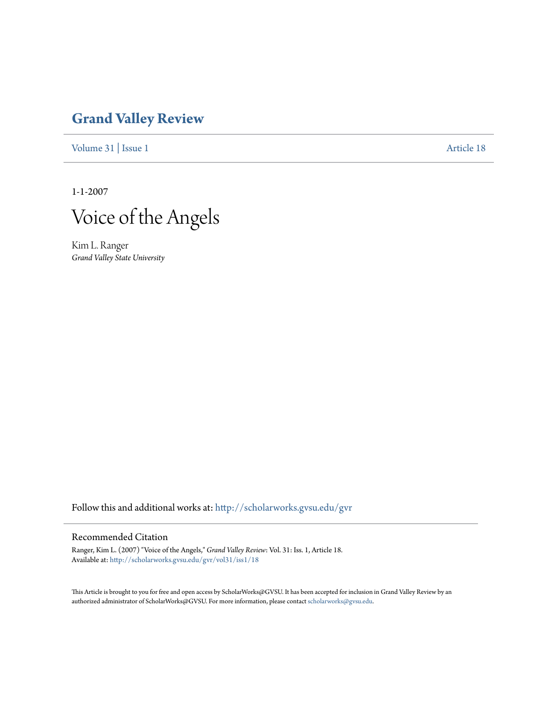## **[Grand Valley Review](http://scholarworks.gvsu.edu/gvr?utm_source=scholarworks.gvsu.edu%2Fgvr%2Fvol31%2Fiss1%2F18&utm_medium=PDF&utm_campaign=PDFCoverPages)**

[Volume 31](http://scholarworks.gvsu.edu/gvr/vol31?utm_source=scholarworks.gvsu.edu%2Fgvr%2Fvol31%2Fiss1%2F18&utm_medium=PDF&utm_campaign=PDFCoverPages) | [Issue 1](http://scholarworks.gvsu.edu/gvr/vol31/iss1?utm_source=scholarworks.gvsu.edu%2Fgvr%2Fvol31%2Fiss1%2F18&utm_medium=PDF&utm_campaign=PDFCoverPages) [Article 18](http://scholarworks.gvsu.edu/gvr/vol31/iss1/18?utm_source=scholarworks.gvsu.edu%2Fgvr%2Fvol31%2Fiss1%2F18&utm_medium=PDF&utm_campaign=PDFCoverPages)

1-1-2007



Kim L. Ranger *Grand Valley State University*

Follow this and additional works at: [http://scholarworks.gvsu.edu/gvr](http://scholarworks.gvsu.edu/gvr?utm_source=scholarworks.gvsu.edu%2Fgvr%2Fvol31%2Fiss1%2F18&utm_medium=PDF&utm_campaign=PDFCoverPages)

## Recommended Citation

Ranger, Kim L. (2007) "Voice of the Angels," *Grand Valley Review*: Vol. 31: Iss. 1, Article 18. Available at: [http://scholarworks.gvsu.edu/gvr/vol31/iss1/18](http://scholarworks.gvsu.edu/gvr/vol31/iss1/18?utm_source=scholarworks.gvsu.edu%2Fgvr%2Fvol31%2Fiss1%2F18&utm_medium=PDF&utm_campaign=PDFCoverPages)

This Article is brought to you for free and open access by ScholarWorks@GVSU. It has been accepted for inclusion in Grand Valley Review by an authorized administrator of ScholarWorks@GVSU. For more information, please contact [scholarworks@gvsu.edu.](mailto:scholarworks@gvsu.edu)